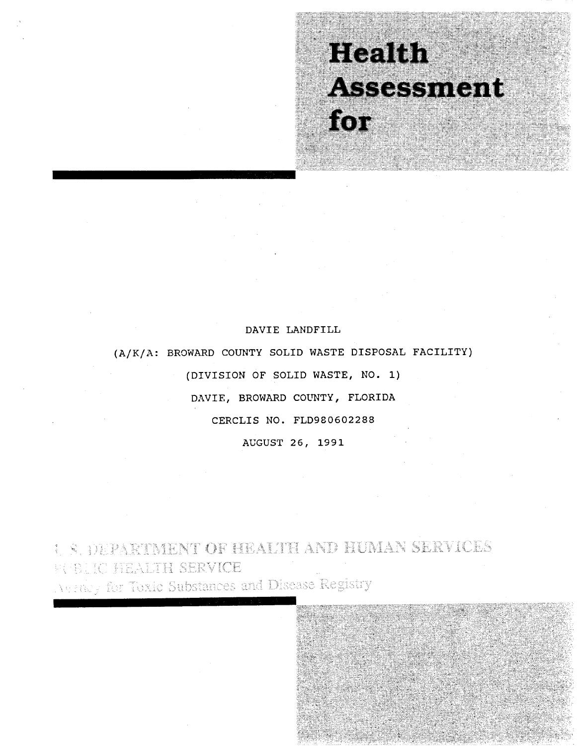# **Realth** Assessment for

# DAVIE LANDFILL

(A/K/A: BROWARD COUNTY SOLID WASTE DISPOSAL FACILITY) (DIVISION OF SOLID WASTE, NO.1) DAVIE, BROWARD COUNTY, FLORIDA CERCLIS NO. FLD980602288 AUGUST 26, 1991

S. DEPARTMENT OF HEALTH AND HUMAN SERVICES FUEL IC HEALTH SERVICE *Vertice for Toxic Substances and Disease Registry*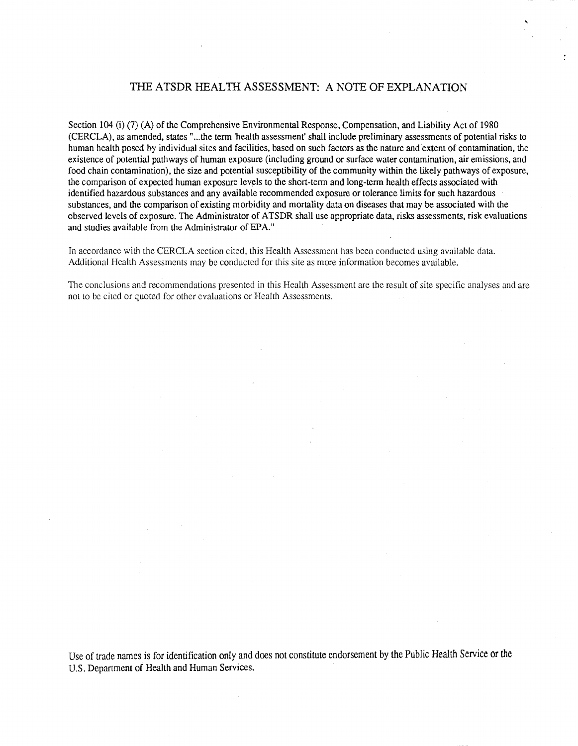# THE ATSDR HEALTH ASSESSMENT: A NOTE OF EXPLANATION

Section 104 (i) (7) (A) of the Comprehensive Environmental Response, Compensation, and Liability Act of 1980 (CERCLA), as amended, states" ... the term 'health assessment' shall include preliminary assessments of potential risks to human health posed by individual sites and facilities, based on such factors as the nature and extent of contamination, the existence of potential pathways of human exposure (including ground or surface water contamination, air emissions, and food chain contamination), the size and potential susceptibility of the community within the likely pathways of exposure, the comparison of expected human exposure levels to the short-term and long-term health effects associated with identified hazardous substances and any available recommended exposure or tolerance limits for such hazardous substances, and the comparison of existing morbidity and mortality data on diseases that may be associated with the observed levels of exposure. The Administrator of ATSDR shall use appropriate data, risks assessments, risk evaluations and studies available from the Administrator of EPA."

In accordance with the CERCLA section cited, this Health Assessment has been conducted using available data. Additional Heallh Assessments may be conducted for this site as more information becomes available.

The conclusions and recommendations presented in this Heallh Assessment are the result of site specific analyses and are not to be cited or quoted for other evaluations or Health Assessments.

Use of trade names is for identification only and does not constitute endorsement by the Public Health Service or the U.S. Department of Health and Human Services.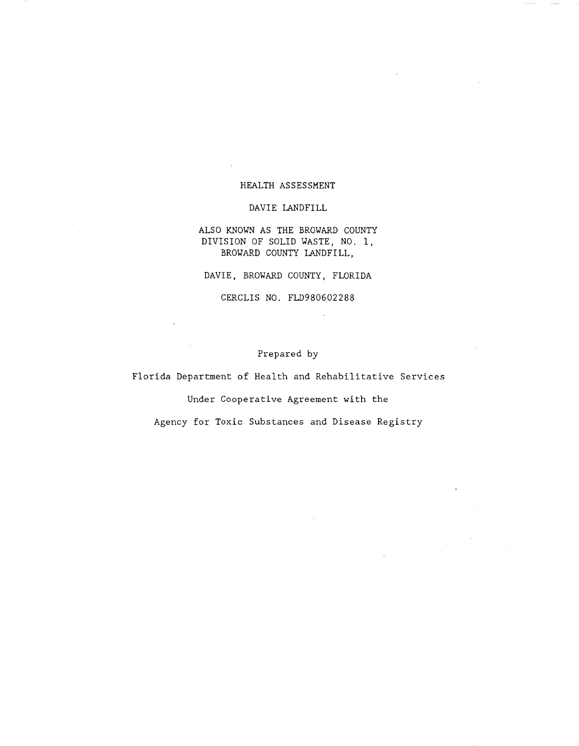# HEALTH ASSESSMENT

DAVIE LANDFILL

ALSO KNOWN AS THE BROWARD COUNTY DIVISION OF SOLID WASTE, NO.1, BROWARD COUNTY LANDFILL,

DAVIE, BROWARD COUNTY, FLORIDA

CERCLIS NO. FLD980602288

# Prepared by

Florida Department of Health and Rehabilitative Services

Under Cooperative Agreement with the

Agency for Toxic Substances and Disease Registry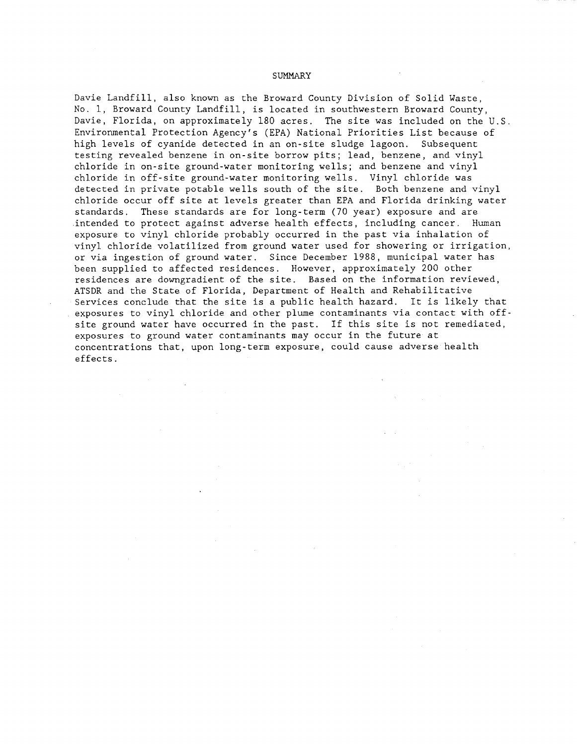#### SUMMARY

Davie Landfill, also known as the Broward County Division of Solid Waste, No.1, Broward County Landfill, is located in southwestern Broward County, Davie, Florida, on approximately 180 acres. The site was included on the U.S. Environmental Protection Agency's (EPA) National Priorities List because of high levels of cyanide detected in an on-site sludge lagoon. Subsequent testing revealed benzene in on-site borrow pits; lead, benzene, and vinyl chloride in on-site ground-water monitoring wells; and benzene and vinyl chloride in off-site ground-water monitoring wells. Vinyl chloride was detected in private potable wells south of the site. Both benzene and vinyl chloride occur off site at levels greater than EPA and Florida drinking water standards. These standards are for long-term (70 year) exposure and are intended to protect against adverse health effects, including cancer. Human exposure to vinyl chloride probably occurred in the past via inhalation of vinyl chloride volatilized from ground water used for showering or irrigation, or via ingestion of ground water. Since December 1988, municipal water has been supplied to affected residences. However, approximately 200 other residences are downgradient of the site. Based on the information reviewed, ATSDR and the State of Florida, Department of Health and Rehabilitative Services conclude that the site is a public health hazard. It is likely that exposures to vinyl chloride and other plume contaminants via contact with offsite ground water have occurred in the past. If this site is not remediated, exposures to ground water contaminants may occur in the future at concentrations that, upon long-term exposure, could cause adverse health effects.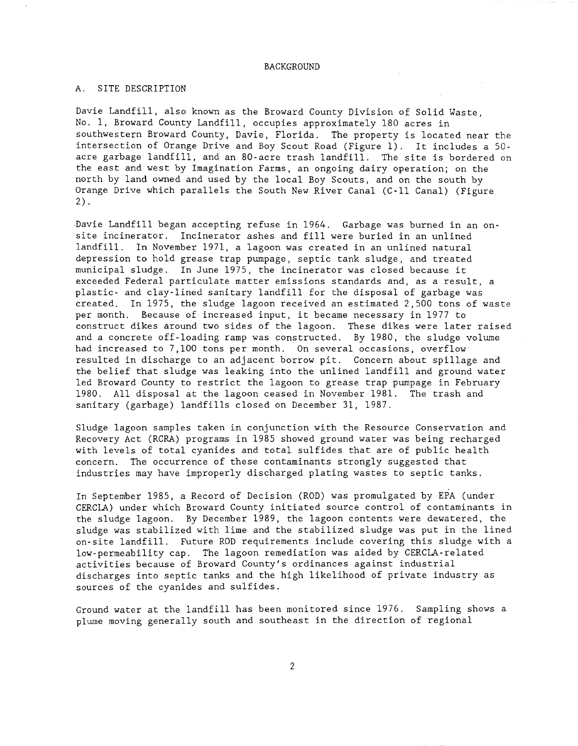#### BACKGROUND

# A. SITE DESCRIPTION

Davie Landfill, also known as the Broward County Division of Solid Waste, No.1, Broward County Landfill, occupies approximately 180 acres in southwestern Broward County, Davie, Florida. The property is located near the intersection of Orange Drive and Boy Scout Road (Figure 1). It includes a 50 acre garbage landfill, and an 80-acre trash landfill. The site is bordered on the east and west by Imagination Farms, an ongoing dairy operation; on the north by land owned and used by the local Boy Scouts, and on the south by Orange Drive which parallels the South New River Canal (C-ll Canal) (Figure 2) .

Davie Landfill began accepting refuse in 1964. Garbage was burned in an onsite incinerator. Incinerator ashes and fill were buried in an unlined landfill. In November 1971, a lagoon was created in an unlined natural depression to hold grease trap pumpage, septic tank sludge, and treated municipal sludge. In June 1975, the incinerator was closed because it exceeded Federal particulate matter emissions standards and, as a result, a plastic- and clay-lined sanitary landfill for the disposal of garbage was created. In 1975, the sludge lagoon received an estimated 2,500 tons of waste per month. Because of increased input, it became necessary in 1977 to construct dikes around two sides of the lagoon. These dikes were later raised and a concrete off-loading ramp was constructed. By 1980, the sludge volume had increased to 7,100 tons per month. On several occasions, overflow resulted in discharge to an adjacent borrow pit. Concern about spillage and the belief that sludge was leaking into the unlined landfill and ground water led Broward County to restrict the lagoon to grease trap pumpage in February 1980. All disposal at the lagoon ceased in November 1981. The trash and sanitary (garbage) landfills closed on December 31, 1987.

Sludge lagoon samples taken in conjunction with the Resource Conservation and Recovery Act (RCRA) programs in 1985 showed ground water was being recharged with levels of total cyanides and total sulfides that are of public health concern. The occurrence of these contaminants strongly suggested that industries may have improperly discharged plating wastes to septic tanks.

In September 1985, a Record of Decision (ROD) was promulgated by EPA (under CERCLA) under which Broward County initiated source control of contaminants in the sludge lagoon. By December 1989, the lagoon contents were dewatered, the sludge was stabilized with lime and the stabilized sludge was put in the lined on-site landfill. Future ROD requirements include covering this sludge with a low-permeability cap. The lagoon remediation was aided by CERCLA-related activities because of Broward County's ordinances against industrial discharges into septic tanks and the high likelihood of private industry as sources of the cyanides and sulfides.

Ground water at the landfill has been monitored since 1976. Sampling shows a plume moving generally south and southeast in the direction of regional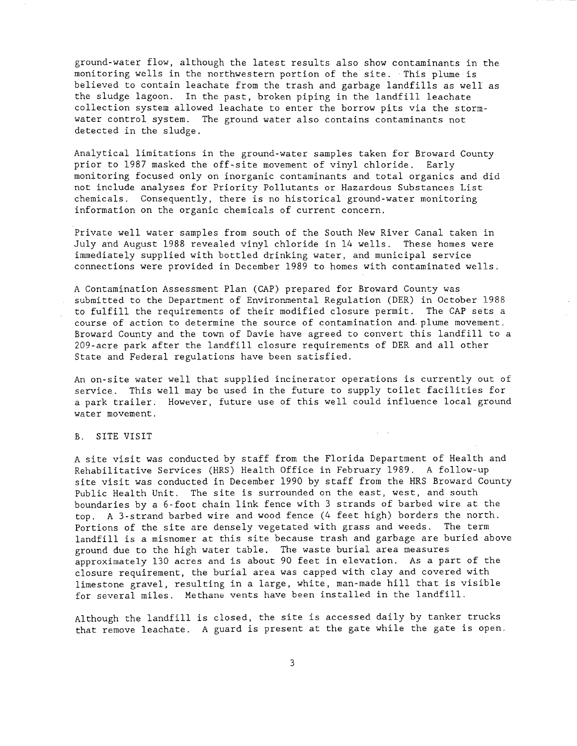ground-water flow, although the latest results also show contaminants in the monitoring wells in the northwestern portion of the site. This plume is believed to contain leachate from the trash and garbage landfills as well as the sludge lagoon. In the past, broken piping in the landfill leachate collection system allowed leachate to enter the borrow pits via the stormwater control system. The ground water also contains contaminants not detected in the sludge.

Analytical limitations in the ground-water samples taken for Broward County prior to 1987 masked the off-site movement of vinyl chloride. Early monitoring focused only on inorganic contaminants and total organics and did not include analyses for Priority Pollutants or Hazardous Substances List chemicals. Consequently, there is no historical ground-water monitoring information on the organic chemicals of current concern.

Private well water samples from south of the South New River Canal taken in July and August 1988 revealed vinyl chloride in 14 wells. These homes were immediately supplied with bottled drinking water, and municipal service connections were provided in December 1989 to homes with contaminated wells.

A Contamination Assessment Plan (CAP) prepared for Broward County was submitted to the Department of Environmental Regulation (DER) in October 1988 to fulfill the requirements of their modified closure permit. The CAP sets a course of action to determine the source of contamination and. plume movement. Broward County and the town of Davie have agreed to convert this landfill to a 209-acre park after the landfill closure requirements of DER and all other State and Federal regulations have been satisfied.

An on-site water well that supplied incinerator operations is currently out of service. This well may be used in the future to supply toilet facilities for a park trailer. However, future use of this well could influence local ground water movement.

 $\mathcal{L}^{\text{max}}$ 

#### B. SITE VISIT

A site visit was conducted by staff from the Florida Department of Health and Rehabilitative Services (HRS) Health Office in February 1989. A follow-up site visit was conducted in December 1990 by staff from the HRS Broward County Public Health Unit. The site is surrounded on the east, west, and south boundaries by a 6-foot chain link fence with 3 strands of barbed wire at the top. A 3-strand barbed wire and wood fence (4 feet high) borders the north. Portions of the site are densely vegetated with grass and weeds. The term landfill is a misnomer at this site because trash and garbage are buried above ground due to the high water table. The waste burial area measures approximately 130 acres and is about 90 feet in elevation. As a part of the closure requirement, the burial area was capped with clay and covered with limestone gravel, resulting in a large, white, man-made hill that is visible for several miles. Methane vents have been installed in the landfill.

Although the landfill is closed, the site is accessed daily by tanker trucks that remove leachate. A guard is present at the gate while the gate is open.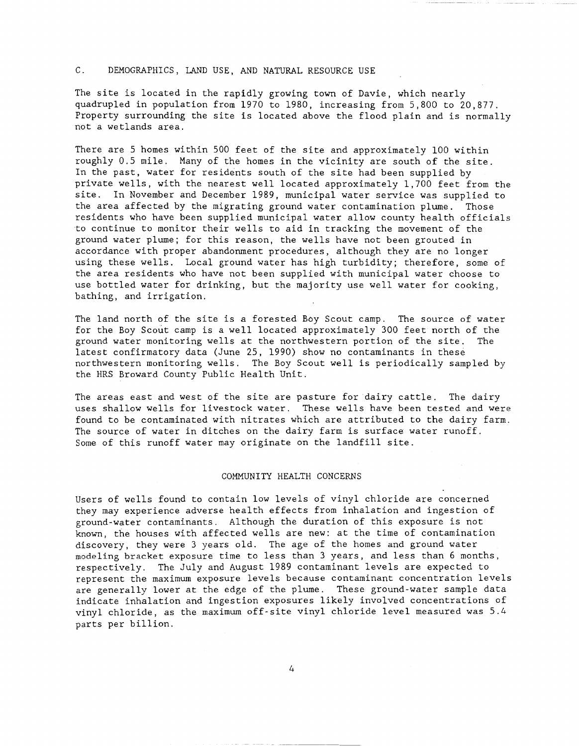# C. DEMOGRAPHICS, LAND USE, AND NATURAL RESOURCE USE

The site is located in the rapidly growing town of Davie, which nearly quadrupled in population from 1970 to 1980, increasing from 5,800 to 20,877. Property surrounding the site is located above the flood plain and is normally not a wetlands area.

There are 5 homes within 500 feet of the site and approximately 100 within roughly 0.5 mile. Many of the homes in the vicinity are south of the site. In the past, water for residents south of the site had been supplied by private wells, with the nearest well located approximately 1,700 feet from the site. In November and December 1989, municipal water service was supplied to the area affected by the migrating ground water contamination plume. Those residents who have been supplied municipal water allow county health officials to continue to monitor their wells to aid in tracking the movement of the ground water plume; for this reason, the wells have not been grouted in accordance with proper abandonment procedures, although they are no longer using these wells. Local ground water has high turbidity; therefore, some of the area residents who have not been supplied with municipal water choose to use bottled water for drinking, but the majority use well water for cooking, bathing, and irrigation.

The land north of the site is a forested Boy Scout camp. The source of water for the Boy Scout camp is a well located approximately 300 feet north of the ground water monitoring wells at the northwestern portion of the site. The latest confirmatory data (June 25, 1990) show no contaminants in these northwestern monitoring wells. The Boy Scout well is periodically sampled by the HRS Broward County Public Health Unit.

The areas east and west of the site are pasture for dairy cattle. The dairy uses shallow wells for livestock water. These wells have been tested and were found to be contaminated with nitrates which are attributed to the dairy farm. The source of water in ditches on the dairy farm is surface water runoff. Some of this runoff water may originate on the landfill site.

### COMMUNITY HEALTH CONCERNS

Users of wells found to contain low levels of vinyl chloride are concerned they may experience adverse health effects from inhalation and ingestion of ground-water contaminants. Although the duration of this exposure is not known, the houses with affected wells are new: at the time of contamination discovery, they were 3 years old. The age of the homes and ground water modeling bracket exposure time to less than 3 years, and less than 6 months, respectively. The July and August 1989 contaminant levels are expected to represent the maximum exposure levels because contaminant concentration levels are generally lower at the edge of the plume. These ground-water sample data indicate inhalation and ingestion exposures likely involved concentrations of vinyl chloride, as the maximum off-site vinyl chloride level measured was 5.4 parts per billion.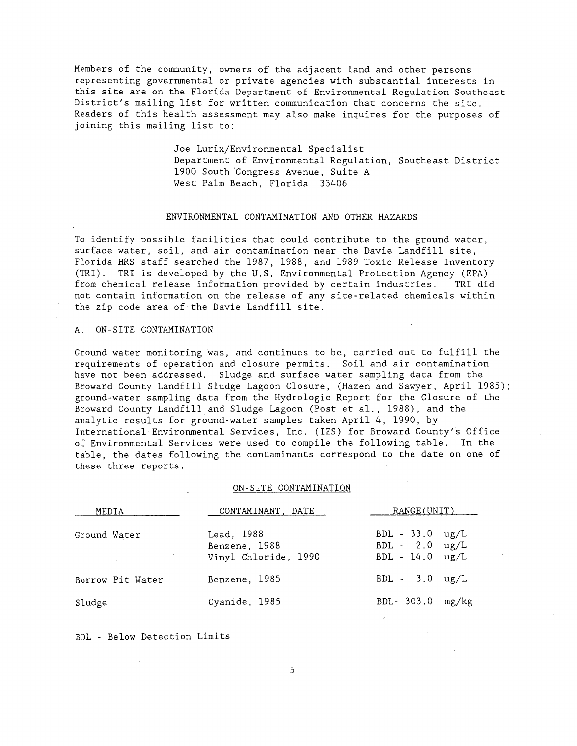Members of the community, owners of the adjacent land and other persons representing governmental or private agencies with substantial interests in this site are on the Florida Department of Environmental Regulation Southeast District's mailing list for written communication that concerns the site. Readers of this health assessment may also make inquires for the purposes of joining this mailing list to:

> Joe Lurix/Environmental Specialist Department of Environmental Regulation, Southeast District 1900 South Congress Avenue, Suite A West Palm Beach, Florida 33406

#### ENVIRONMENTAL CONTAMINATION AND OTHER HAZARDS

To identify possible facilities that could contribute to the ground water, surface water, soil, and air contamination near the Davie Landfill site, Florida HRS staff searched the 1987, 1988, and 1989 Toxic Release Inventory (TRI). TRI is developed by the U.S. Environmental Protection Agency (EPA) from chemical release information provided by certain industries. TRI did not contain information on the release of any site-related chemicals within the zip code area of the Davie Landfill site.

# A. ON-SITE CONTAMINATION

Ground water monitoring was, and continues to be, carried out to fulfill the requirements of operation and closure permits. Soil and air contamination have not been addressed. Sludge and surface water sampling data from the Broward County Landfill Sludge Lagoon Closure, (Hazen and Sawyer, April 1985); ground-water sampling data from the Hydrologic Report for the Closure of the Broward County Landfill and Sludge Lagoon (Post et al., 1988), and the analytic results for ground-water samples taken April 4, 1990, by International Environmental Services, Inc. (IES) for Broward County's Office of Environmental Services were used to compile the following table. In the table, the dates following the contaminants correspond to the date on one of these three reports.

#### ON-SITE CONTAMINATION

| MEDIA            | CONTAMINANT, DATE                                   | RANGE(UNIT)                                                                |  |
|------------------|-----------------------------------------------------|----------------------------------------------------------------------------|--|
| Ground Water     | Lead, 1988<br>Benzene, 1988<br>Vinyl Chloride, 1990 | $BDL - 33.0 \text{ ug/L}$<br>$BDL - 2.0 \text{ ug/L}$<br>$BDL - 14.0$ ug/L |  |
| Borrow Pit Water | Benzene, 1985                                       | $BDL - 3.0 \text{ ug/L}$                                                   |  |
| Sludge           | Cyanide, 1985                                       | BDL- $303.0$ mg/kg                                                         |  |

BDL - Below Detection Limits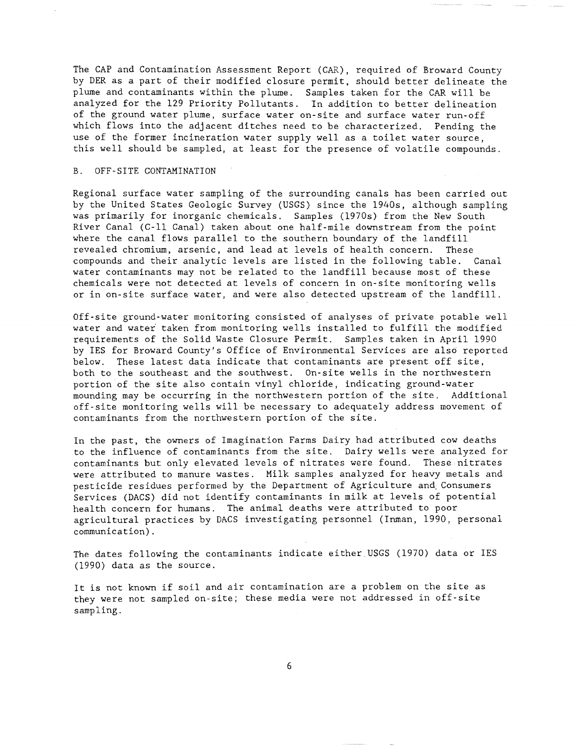The CAP and Contamination Assessment Report (CAR), required of Broward County by DER as a part of their modified closure permit, should better delineate the plume and contaminants within the plume. Samples taken for the CAR will be analyzed for the 129 Priority Pollutants. In addition to better delineation of the ground water plume, surface water on-site and surface water run-off which flows into the adjacent ditches need to be characterized. Pending the use of the former incineration water supply well as a toilet water source, this well should be sampled, at least for the presence of volatile compounds.

#### B. OFF-SITE CONTAMINATION

Regional surface water sampling of the surrounding canals has been carried out by the United States Geologic Survey (USGS) since the 1940s, although sampling was primarily for inorganic chemicals. Samples (1970s) from the New South River Canal (C-ll Canal) taken about one half-mile downstream from the point where the canal flows parallel to the southern boundary of the landfill revealed chromium, arsenic, and lead at levels of health concern. These compounds and their analytic levels are listed in the following table. Canal water contaminants may not be related to the landfill because most of these chemicals were not detected at levels of concern in on-site monitoring wells or in on-site surface water, and were also detected upstream of the landfill.

Off-site ground-water monitoring consisted of analyses of private potable well water and water taken from monitoring wells installed to fulfill the modified requirements of the Solid Waste Closure Permit. Samples taken in April 1990 by IES for Broward County's Office of Environmental Services are also reported below. These latest data indicate that contaminants are present off site, both to the southeast and the southwest. On-site wells in the northwestern portion of the site also contain vinyl chloride, indicating ground-water mounding may be occurring in the northwestern portion of the site. Additional off-site monitoring wells will be necessary to adequately address movement of contaminants from the northwestern portion of the site.

In the past, the owners of Imagination Farms Dairy had attributed cow deaths to the influence of contaminants from the site. Dairy wells were analyzed for contaminants but only elevated levels of nitrates were found. These nitrates were attributed to manure wastes. Milk samples analyzed for heavy metals and pesticide residues performed by the Department of Agriculture and. Consumers Services (DACS) did not identify contaminants in milk at levels of potential health concern for humans. The animal deaths were attributed to poor agricultural practices by DACS investigating personnel (Inman, 1990, personal communication).

The dates following the contaminants indicate either.USGS (1970) data or IES (1990) data as the source.

It is not known if soil and air contamination are a problem on the site as they were not sampled on-site; these media were not addressed in off-site sampling.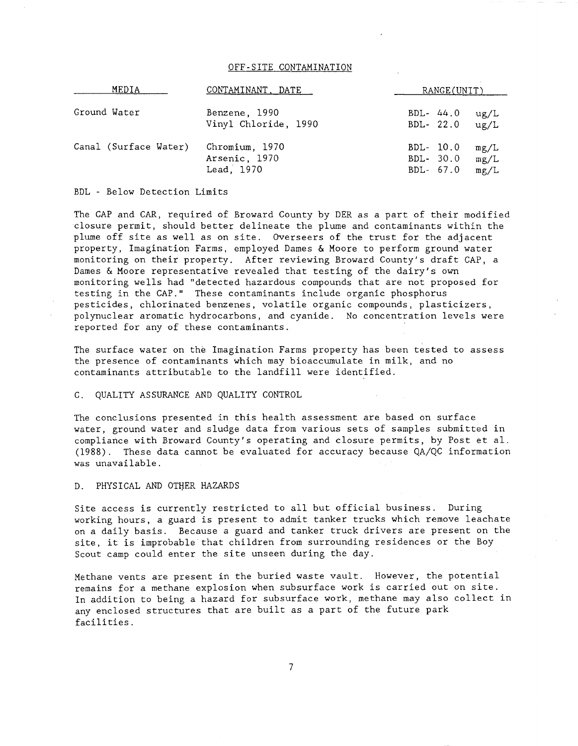# OFF-SITE CONTAMINATION

| MEDIA                 | CONTAMINANT, DATE    | RANGE(UNIT) |      |
|-----------------------|----------------------|-------------|------|
| Ground Water          | Benzene, 1990        | BDL- $44.0$ | ug/L |
|                       | Vinyl Chloride, 1990 | BDL- 22.0   | ug/L |
| Canal (Surface Water) | Chromium, 1970       | BDL- 10.0   | mg/L |
|                       | Arsenic, 1970        | BDL- 30.0   | mg/L |
|                       | Lead, 1970           | BDL- 67.0   | mg/L |

## BDL - Below Detection Limits

The CAP and CAR, required of Broward County by DER as a part of their modified closure permit, should better delineate the plume and contaminants within the plume off site as well as on site. Overseers of the trust for the adjacent property, Imagination Farms, employed Dames & Moore to perform ground water monitoring on their property. After reviewing Broward County's draft CAP, a Dames & Moore representative revealed that testing of the dairy's own monitoring wells had "detected hazardous compounds that are not proposed for monitoring weits had deceded mathemats compounds ende are not propresent that the CAP." These contaminants include organic phosphorus pesticides, chlorinated benzenes, volatile organic compounds, plasticizers, polynuclear aromatic hydrocarbons, and cyanide. No concentration levels were reported for any of these contaminants.

The surface water on the Imagination Farms property has been tested to assess the presence of contaminants which may bioaccumulate in milk, and no contaminants attributable to the landfill were identified.

# C. QUALITY ASSURANCE AND QUALITY CONTROL

The conclusions presented in this health assessment are based on surface water, ground water and sludge data from various sets of samples submitted in compliance with Broward County's operating and closure permits, by Post et al. (1988). These data cannot be evaluated for accuracy because QA/QC information was unavailable.

#### D. PHYSICAL AND OTHER HAZARDS

Site access is currently restricted to all but official business. During working hours, a guard is present to admit tanker trucks which remove leachate on a daily basis. Because a guard and tanker truck drivers are present on the site, it is improbable that children from surrounding residences or the Boy Scout camp could enter the site unseen during the day.

Methane vents are present in the buried waste vault. However, the potential remains for a methane explosion when subsurface work is carried out on site. In addition to being a hazard for subsurface work, methane may also collect in any enclosed structures that are built as a part of the future park facilities.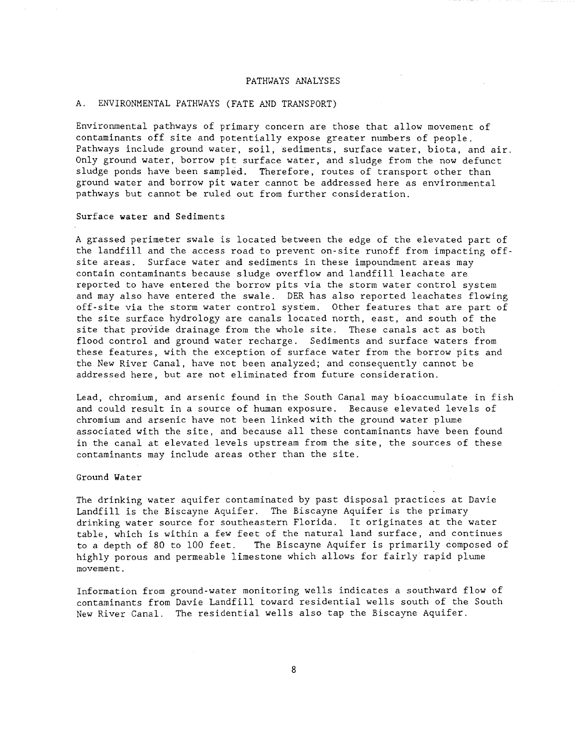#### PATHUAYS ANALYSES

# A. ENVIRONMENTAL PATHUAYS (FATE AND TRANSPORT)

Environmental pathways of primary concern are those that allow movement of contaminants off site and potentially expose greater numbers of people. Pathways include ground water, soil, sediments, surface water, biota, and air. Only ground water, borrow pit surface water, and sludge from the now defunct sludge ponds have been sampled. Therefore, routes of transport other than ground water and borrow pit water cannot be addressed here as environmental pathways but cannot be ruled out from further consideration.

#### Surface **water** and Sediments

A grassed perimeter swale is located between the edge of the elevated part of the landfill and the access road to prevent on-site runoff from impacting offsite areas. Surface water and sediments in these impoundment areas may contain contaminants because sludge overflow and landfill leachate are reported to have entered the borrow pits via the storm water control system and may also have entered the swale. DER has also reported leachates flowing off-site via the storm water control system. Other features that are part of the site surface hydrology are canals located north, east, and south of the site that provide drainage from the whole site. These canals act as both flood control and ground water recharge. Sediments and surface waters from these features, with the exception of surface water from the borrow pits and the New River Canal, have not been analyzed; and consequently cannot be addressed here, but are not eliminated from future consideration.

Lead, chromium, and arsenic found in the South Canal may bioaccumulate in fish and could result in a source of human exposure. Because elevated levels of chromium and arsenic have not been linked with the ground water plume associated with the site, and because all these contaminants have been found in the canal at elevated levels upstream from the site, the sources of these contaminants may include areas other than the site.

#### Ground Water

The drinking water aquifer contaminated by past disposal practices at Davie Landfill is the Biscayne Aquifer. The Biscayne Aquifer is the primary drinking water source for southeastern Florida. It originates at the water table, which is within a few feet of the natural land surface, and continues The Biscayne Aquifer is primarily composed of highly porous and permeable limestone which allows for fairly rapid plume movement.

Information from ground-water monitoring wells indicates a southward flow of contaminants from Davie Landfill toward residential wells south of the South New River Canal. The residential wells also tap the Biscayne Aquifer.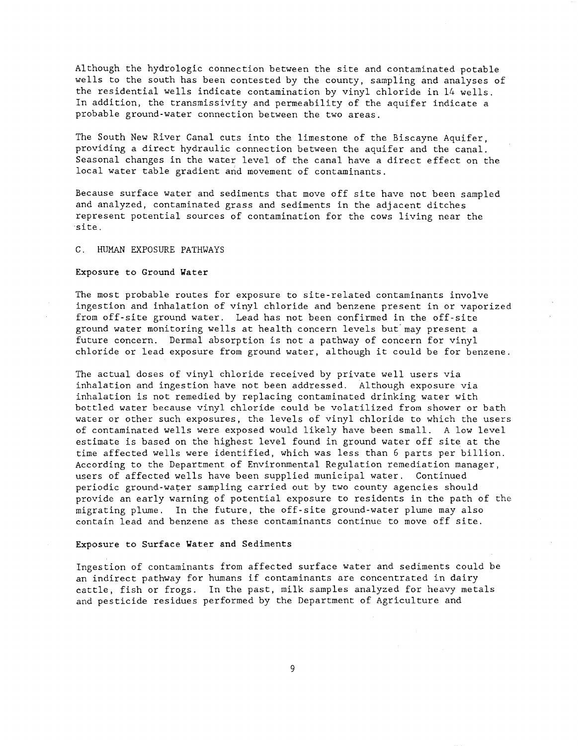Although the hydrologic connection between the site and contaminated potable wells to the south has been contested by the county, sampling and analyses of the residential wells indicate contamination by vinyl chloride in 14 wells. In addition, the transmissivity and permeability of the aquifer indicate a probable ground-water connection between the two areas.

The South New River Canal cuts into the limestone of the Biscayne Aquifer, providing a direct hydraulic connection between the aquifer and the canal. Seasonal changes in the water level of the canal have a direct effect on the local water table gradient and movement of contaminants.

Because surface water and sediments that move off site have not been sampled and analyzed, contaminated grass and sediments in the adjacent ditches represent potential sources of contamination for the cows living near the site.

#### C. HUMAN EXPOSURE PATHWAYS

# Exposure to Ground Yater

The most probable routes for exposure to site-related contaminants involve ingestion and inhalation of vinyl chloride and benzene present in or vaporized from off-site ground water. Lead has not been confirmed in the off-site ground water monitoring wells at health concern levels but'may present a future concern. Dermal absorption is not a pathway of concern for vinyl chloride or lead exposure from ground water, although it could be for benzene.

The actual doses of vinyl chloride received by private well users via inhalation and ingestion have not been addressed. Although exposure via inhalation is not remedied by replacing contaminated drinking water with bottled water because vinyl chloride could be volatilized from shower or bath water or other such exposures, the levels of vinyl chloride to which the users of contaminated wells were exposed would likely have been small. A low level estimate is based on the highest level found in ground water off site at the time affected wells were identified, which was less than 6 parts per billion. According to the Department of Environmental Regulation remediation manager, users of affected wells have been supplied municipal water. Continued periodic ground-water sampling carried out by two county agencies should provide an early warning of potential exposure to residents in the path of the migrating plume. In the future, the off-site ground-water plume may also contain lead and benzene as these contaminants continue to move off site.

#### Exposure to Surface Yater and Sediments

Ingestion of contaminants from affected surface water and sediments could be an indirect pathway for humans if contaminants are concentrated in dairy cattle, fish or frogs. In the past, milk samples analyzed for heavy metals and pesticide residues performed by the Department of Agriculture and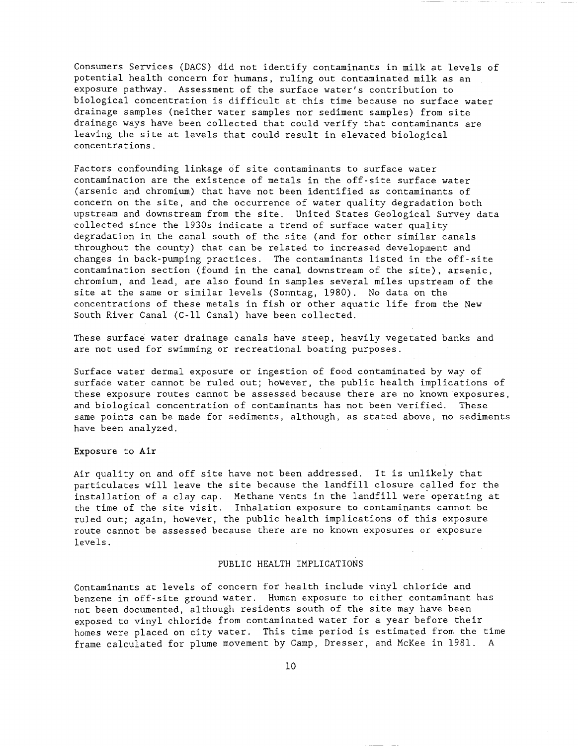Consumers Services (DACS) did not identify contaminants in milk at levels of potential health concern for humans, ruling out contaminated milk as an exposure pathway. Assessment of the surface water's contribution to biological concentration is difficult at this time because no surface water drainage samples (neither water samples nor sediment samples) from site drainage ways have been collected that could verify that contaminants are leaving the site at levels that could result in elevated biological concentrations.

Factors confounding linkage of site contaminants to surface water contamination are the existence of metals in the off-site surface water (arsenic and chromium) that have not been identified as contaminants of concern on the site, and the occurrence of water quality degradation both upstream and downstream from the site. United States Geological Survey data collected since the 1930s indicate a trend of surface water quality degradation in the canal south of the site (and for other similar canals throughout the county) that can be related to increased development and changes in back-pumping practices. The contaminants listed in the off-site contamination section (found in the canal downstream of the site), arsenic, chromium, and lead, are also found in samples several miles upstream of the site at the same or similar levels (Sonntag, 1980). No data on the concentrations of these metals in fish or other aquatic life from the New South River Canal (C-ll Canal) have been collected.

These surface water drainage canals have steep, heavily vegetated banks and are not used for swimming or recreational boating purposes.

Surface water dermal exposure or ingestion of food contaminated by way of surface water cannot be ruled out; however, the public health implications of these exposure routes cannot be assessed because there are no known exposures, and biological concentration of contaminants has not been verified. These same points can be made for sediments, although, as stated above, no sediments have been analyzed.

#### Exposure to **Air**

Air quality on and off site have not been addressed. It is unlikely that particulates will leave the site because the landfill closure called for the installation of a clay cap. Methane vents in the landfill were' operating at the time of the site visit. Inhalation exposure to contaminants cannot be ruled out; again, however, the public health implications of this exposure route cannot be assessed because there are no known exposures or exposure levels.

#### PUBLIC HEALTH IMPLICATIONS

Contaminants at levels of concern for health include vinyl chloride and benzene in off-site ground water. Human exposure to either contaminant has not been documented, although residents south of the site may have been exposed to vinyl chloride from contaminated water for a year before their homes were placed on city water. This time period is estimated from the time frame calculated for plume movement by Camp, Dresser, and McKee in 1981. A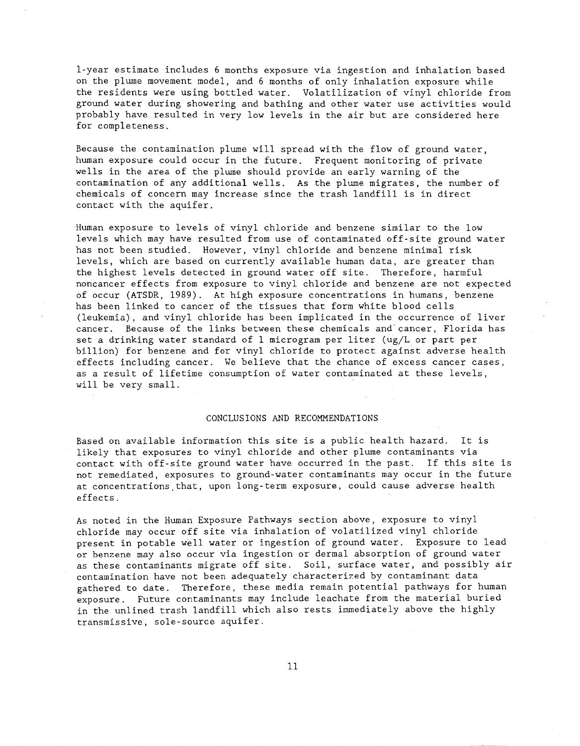l-year estimate includes 6 months exposure via ingestion and inhalation based on the plume movement model, and 6 months of only inhalation exposure while the residents were using bottled water. Volatilization of vinyl chloride from ground water during showering and bathing and other water use activities would probably have resulted in very low levels in the air but are considered here for completeness.

Because the contamination plume will spread with the flow of ground water, human exposure could occur in the future. Frequent monitoring of private wells in the area of the plume should provide an early warning of the contamination of any additional wells. As the plume migrates, the number of chemicals of concern may increase since the trash landfill is in direct contact with the aquifer.

Human exposure to levels of vinyl chloride and benzene similar to the low levels which may have resulted from use of contaminated off-site ground water has not been studied. However, vinyl chloride and benzene minimal risk levels, which are based on currently available human data, are greater than the highest levels detected in ground water off site. Therefore, harmful noncancer effects from exposure to vinyl chloride and benzene are not expected of occur (ATSDR, 1989). At high exposure concentrations in humans, benzene has been linked to cancer of the tissues that form white blood cells (leukemia), and vinyl chloride has been implicated in the occurrence of liver cancer. Because of the links between these chemicals and'cancer, Florida has set a drinking water standard of 1 microgram per liter (ug/L or part per billion) for benzene and for vinyl chloride to protect against adverse health effects including cancer. We believe that the chance of excess cancer cases, as a result of lifetime consumption of water contaminated at these levels, will be very small.

# CONCLUSIONS AND RECOMMENDATIONS

Based on available information this site is a public health hazard. It is likely that exposures to vinyl chloride and other plume contaminants via contact with off-site ground water have occurred in the past. If this site is not remediated, exposures to ground-water contaminants may occur in the future at concentrations. that, upon long-term exposure, could cause adverse health effects.

As noted in the Human Exposure Pathways section above, exposure to vinyl chloride may occur off site via inhalation of volatilized vinyl chloride present in potable well water or ingestion of ground water. Exposure to lead or benzene may also occur via ingestion or dermal absorption of ground water as these contaminants migrate off site. Soil, surface water, and possibly air contamination have not been adequately characterized by contaminant data gathered to date. Therefore, these media remain potential pathways for human exposure. Future contaminants may include leachate from the material buried in the unlined trash landfill which also rests immediately above the highly transmissive, sole-source aquifer.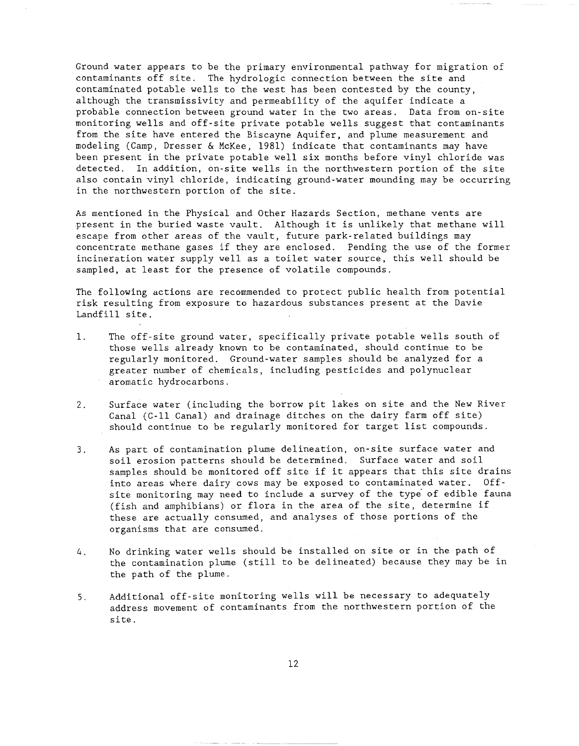Ground water appears to be the primary environmental pathway for migration of contaminants off site. The hydrologic connection between the site and contaminated potable wells to the west has been contested by the county, although the transmissivity and permeability of the aquifer indicate a probable connection between ground water in the two areas. Data from on-site monitoring wells and off-site private potable wells suggest that contaminants from the site have entered the Biscayne Aquifer, and plume measurement and modeling (Camp, Dresser & McKee, 1981) indicate that contaminants may have been present in the private potable well six months before vinyl chloride was detected. In addition, on-site wells in the northwestern portion of the site also contain vinyl chloride, indicating ground-water mounding may be occurring in the northwestern portion of the site.

As mentioned in the Physical and Other Hazards Section, methane vents are present in the buried waste vault. Although it is unlikely that methane will escape from other areas of the vault, future park-related buildings may concentrate methane gases if they are enclosed. Pending the use of the former incineration water supply well as a toilet water source, this well should be sampled, at least for the presence of volatile compounds.

The following actions are recommended to protect public health from potential risk resulting from exposure to hazardous substances present at the Davie Landfill site.

- 1. The off-site ground water, specifically private potable wells south of those wells already known to be contaminated, should continue to be regularly monitored. Ground-water samples should be analyzed for a greater number of chemicals, including pesticides and polynuclear aromatic hydrocarbons.
- 2. Surface water (including the borrow pit lakes on site and the New River Canal (C-ll Canal) and drainage ditches on the dairy farm off site) should continue to be regularly monitored for target list compounds.
- 3. As part of contamination plume delineation, on-site surface water and soil erosion patterns should be determined. Surface water and soil samples should be monitored off site if it appears that this site drains into areas where dairy cows may be exposed to contaminated water. Offsite monitoring may need to include a survey of the type' of edible fauna (fish and amphibians) or flora in the area of the site, determine if these are actually consumed, and analyses of those portions of the organisms that are consumed.
- 4. No drinking water wells should be installed on site or in the path of the contamination plume (still to be delineated) because they may be in the path of the plume.
- 5. Additional off-site monitoring wells will be necessary to adequately address movement of contaminants from the northwestern portion of the site.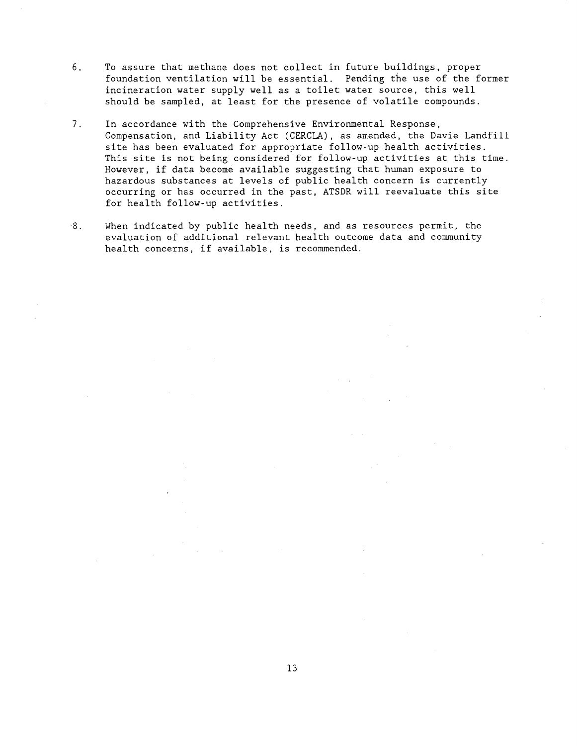- 6. To assure that methane does not collect in future buildings, proper foundation ventilation will be essential. Pending the use of the former incineration water supply well as a toilet water source, this well should be sampled, at least for the presence of volatile compounds.
- 7. In accordance with the Comprehensive Environmental Response, Compensation, and Liability Act (CERCLA), as amended, the Davie Landfill site has been evaluated for appropriate follow-up health activities. This site is not being considered for follow-up activities at this time. However, if data become available suggesting that human exposure to hazardous substances at levels of public health concern is currently occurring or has occurred in the past, ATSDR will reevaluate this site for health follow-up activities.
- 8. When indicated by public health needs, and as resources permit, the evaluation of additional relevant health outcome data and community health concerns, if available, is recommended.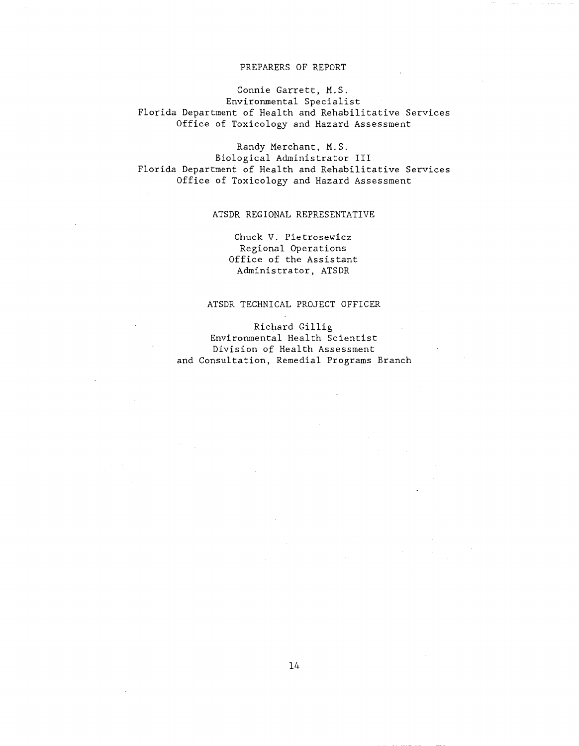# PREPARERS OF REPORT

Connie Garrett, M.S. Environmental Specialist Florida Department of Health and Rehabilitative Services Office of Toxicology and Hazard Assessment

Randy Merchant, M.S. Biological Administrator III Florida Department of Health and Rehabilitative Services Office of Toxicology and Hazard Assessment

# ATSDR REGIONAL REPRESENTATIVE

Chuck V. Pietrosewicz Regional Operations Office of the Assistant Administrator, ATSDR

# ATSDR TECHNICAL PROJECT OFFICER

Richard Gillig Environmental Health Scientist Division of Health Assessment and Consultation, Remedial Programs Branch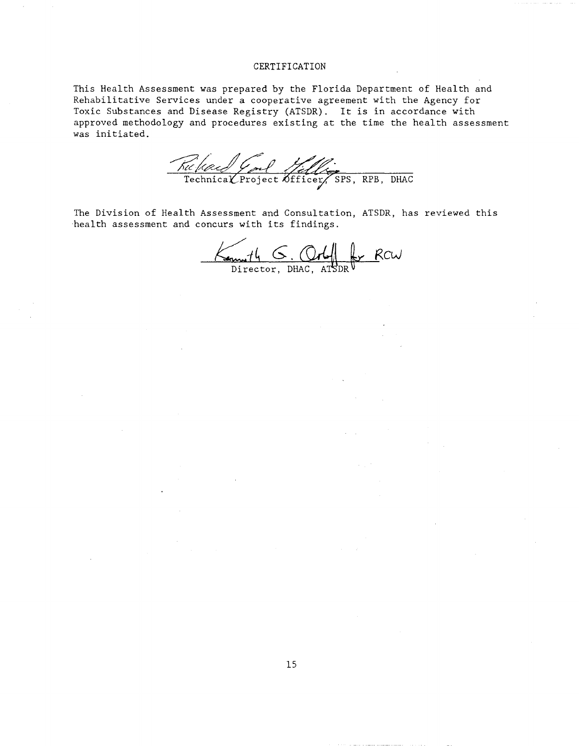#### CERTIFICATION

This Health Assessment was prepared by the Florida Department of Health and Rehabilitative Services under a cooperative agreement with the Agency for Toxic Substances and Disease Registry (ATSDR). It is in accordance with approved methodology and procedures existing at the time the health assessment was initiated.

Ruchel God Selles, RPB, DHAC

The Division of Health Assessment and Consultation, ATSDR, has reviewed this health assessment and concurs with its findings.

 $K_{\text{em}}$   $H_{\text{b}}$   $G$ . Orlf  $L_{\text{p}}$   $R_{\text{cw}}$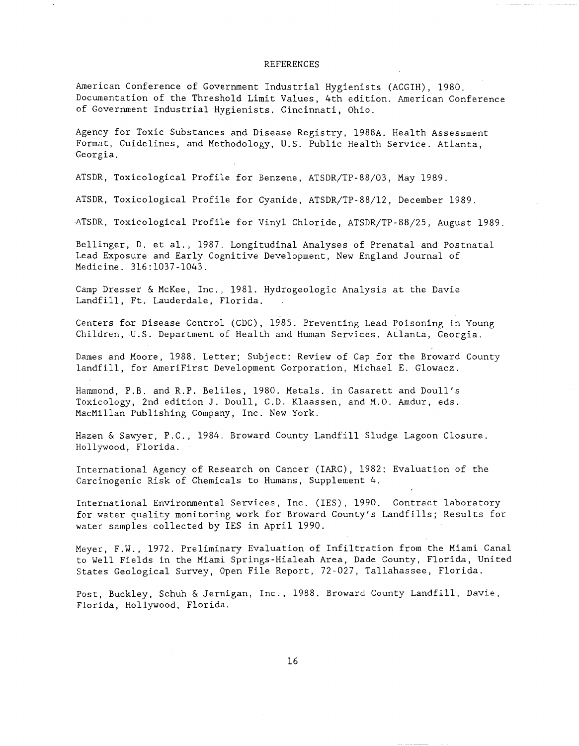#### REFERENCES

American Conference of Government Industrial Hygienists (ACGIH), 1980. Documentation of the Threshold Limit Values, 4th edition. American Conference of Government Industrial Hygienists. Cincinnati, Ohio.

Agency for Toxic Substances and Disease Registry, 1988A. Health Assessment Format, Guidelines, and Methodology, U.S. Public Health Service. Atlanta, Georgia.

ATSDR, Toxicological Profile for Benzene, ATSDR/TP-88/03, May 1989.

ATSDR, Toxicological Profile for Cyanide, ATSDR/TP-88/l2, December 1989.

ATSDR, Toxicological Profile for Vinyl Chloride, ATSDR/TP-88/25, August 1989.

Bellinger, D. et al., 1987. Longitudinal Analyses of Prenatal and Postnatal Lead Exposure and Early Cognitive Development, New England Journal of Medicine. 316:1037-1043.

Camp Dresser & McKee, Inc., 1981. Hydrogeologic Analysis at the Davie Landfill, Ft. Lauderdale, Florida.

Centers for Disease Control (CDC), 1985. Preventing Lead Poisoning in Young Children, U.S. Department of Health and Human Services. Atlanta, Georgia.

Dames and Moore, 1988. Letter; Subject: Review of Cap for the Broward County landfill, for AmeriFirst Development Corporation, Michael E. Glowacz.

Hammond, P.B. and R.P. Beliles, 1980. Metals. in Casarett and Doull's Toxicology, 2nd edition J. Doull, C.D. Klaassen, and M.O. Amdur, eds. MacMillan Publishing Company, Inc. New York.

Hazen & Sawyer, P.C., 1984. Broward County Landfill Sludge Lagoon Closure. Hollywood, Florida.

International Agency of Research on Cancer (IARC) , 1982: Evaluation of the Carcinogenic Risk of Chemicals to Humans, Supplement 4.

International Environmental Services, Inc. (IES), 1990. Contract laboratory for water quality monitoring work for Broward County's Landfills; Results for water samples collected by IES in April 1990.

Meyer, F.W., 1972. Preliminary Evaluation of Infiltration from the Miami Canal to Well Fields in the Miami Springs-Hialeah Area, Dade County, Florida, United States Geological Survey, Open File Report, 72-027, Tallahassee, Florida.

Post, Buckley, Schuh & Jernigan, Inc., 1988. Broward County Landfill, Davie, Florida, Hollywood, Florida.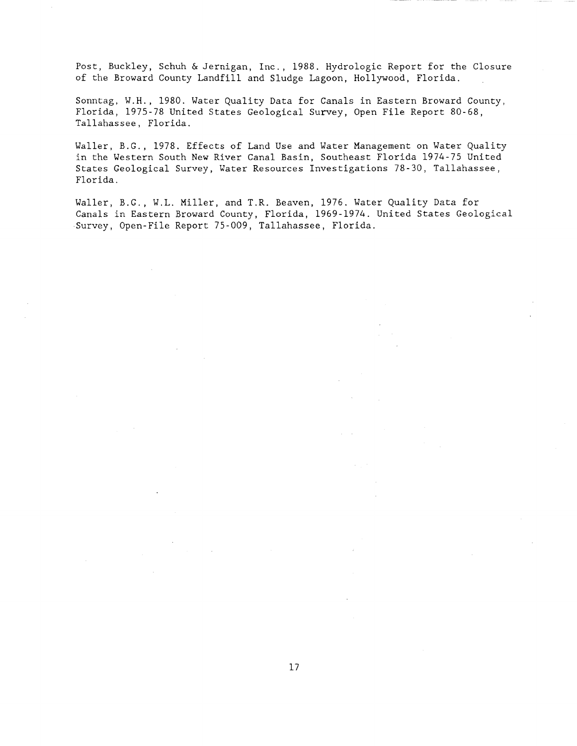Post, Buckley, Schuh & Jernigan, Inc., 1988. Hydrologic Report for the Closure of the Broward County Landfill and Sludge Lagoon, Hollywood, Florida.

Sonntag, W.H., 1980. Water Quality Data for Canals in Eastern Broward County, Florida, 1975-78 United States Geological Survey, Open File Report 80-68, Tallahassee, Florida.

Waller, B.G., 1978. Effects of Land Use and Water Management on Water Quality in the Western South New River Canal Basin, Southeast Florida 1974-75 United States Geological Survey, Water Resources Investigations 78-30, Tallahassee, Florida.

Waller, B.G., W.L. Miller, and T.R. Beaven, 1976. Water Quality Data for Canals in Eastern Broward County, Florida, 1969-1974. United States Geological Survey, Open-File Report 75-009, Tallahassee, Florida.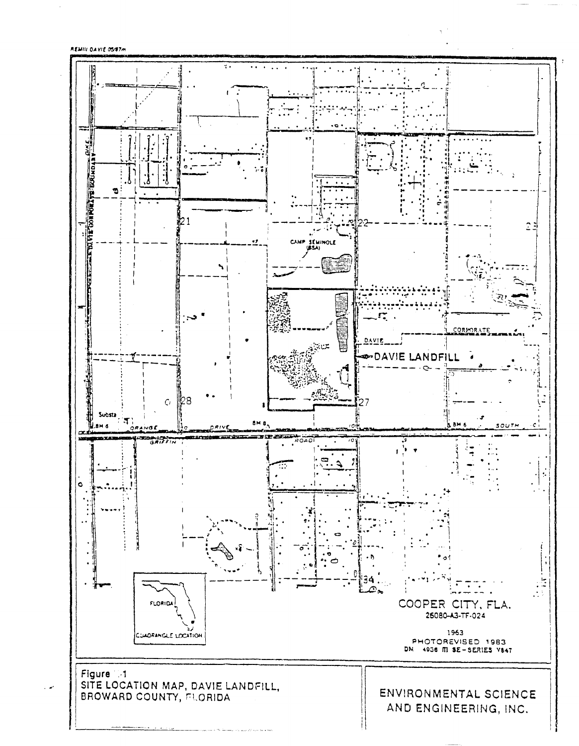